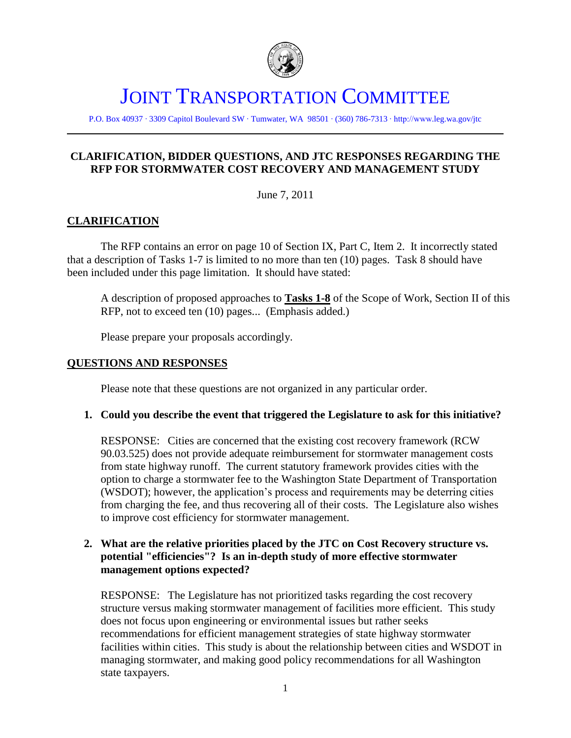

# JOINT TRANSPORTATION COMMITTEE

P.O. Box 40937 ∙ 3309 Capitol Boulevard SW ∙ Tumwater, WA 98501 ∙ (360) 786-7313 ∙ http://www.leg.wa.gov/jtc

# **CLARIFICATION, BIDDER QUESTIONS, AND JTC RESPONSES REGARDING THE RFP FOR STORMWATER COST RECOVERY AND MANAGEMENT STUDY**

June 7, 2011

# **CLARIFICATION**

The RFP contains an error on page 10 of Section IX, Part C, Item 2. It incorrectly stated that a description of Tasks 1-7 is limited to no more than ten (10) pages. Task 8 should have been included under this page limitation. It should have stated:

A description of proposed approaches to **Tasks 1-8** of the Scope of Work, Section II of this RFP, not to exceed ten (10) pages... (Emphasis added.)

Please prepare your proposals accordingly.

#### **QUESTIONS AND RESPONSES**

Please note that these questions are not organized in any particular order.

#### **1. Could you describe the event that triggered the Legislature to ask for this initiative?**

RESPONSE: Cities are concerned that the existing cost recovery framework (RCW 90.03.525) does not provide adequate reimbursement for stormwater management costs from state highway runoff. The current statutory framework provides cities with the option to charge a stormwater fee to the Washington State Department of Transportation (WSDOT); however, the application's process and requirements may be deterring cities from charging the fee, and thus recovering all of their costs. The Legislature also wishes to improve cost efficiency for stormwater management.

# **2. What are the relative priorities placed by the JTC on Cost Recovery structure vs. potential "efficiencies"? Is an in-depth study of more effective stormwater management options expected?**

RESPONSE: The Legislature has not prioritized tasks regarding the cost recovery structure versus making stormwater management of facilities more efficient. This study does not focus upon engineering or environmental issues but rather seeks recommendations for efficient management strategies of state highway stormwater facilities within cities. This study is about the relationship between cities and WSDOT in managing stormwater, and making good policy recommendations for all Washington state taxpayers.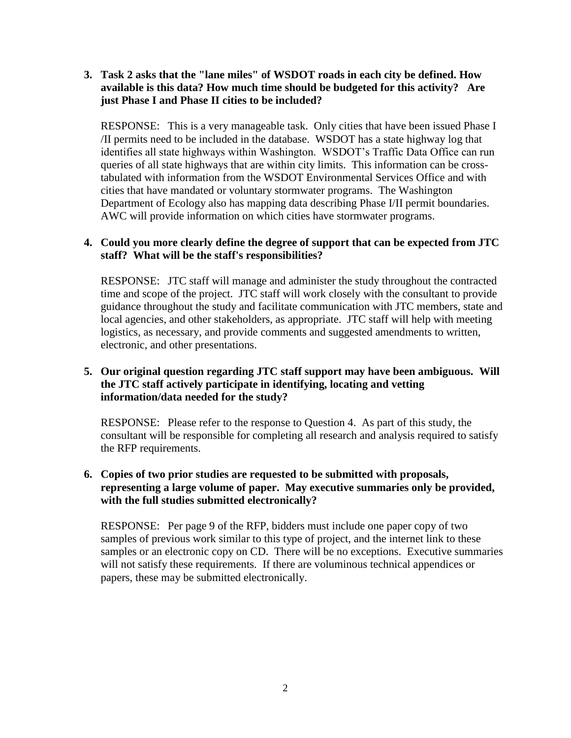# **3. Task 2 asks that the "lane miles" of WSDOT roads in each city be defined. How available is this data? How much time should be budgeted for this activity? Are just Phase I and Phase II cities to be included?**

RESPONSE: This is a very manageable task. Only cities that have been issued Phase I /II permits need to be included in the database. WSDOT has a state highway log that identifies all state highways within Washington. WSDOT's Traffic Data Office can run queries of all state highways that are within city limits. This information can be crosstabulated with information from the WSDOT Environmental Services Office and with cities that have mandated or voluntary stormwater programs. The Washington Department of Ecology also has mapping data describing Phase I/II permit boundaries. AWC will provide information on which cities have stormwater programs.

# **4. Could you more clearly define the degree of support that can be expected from JTC staff? What will be the staff's responsibilities?**

RESPONSE: JTC staff will manage and administer the study throughout the contracted time and scope of the project. JTC staff will work closely with the consultant to provide guidance throughout the study and facilitate communication with JTC members, state and local agencies, and other stakeholders, as appropriate. JTC staff will help with meeting logistics, as necessary, and provide comments and suggested amendments to written, electronic, and other presentations.

# **5. Our original question regarding JTC staff support may have been ambiguous. Will the JTC staff actively participate in identifying, locating and vetting information/data needed for the study?**

RESPONSE: Please refer to the response to Question 4. As part of this study, the consultant will be responsible for completing all research and analysis required to satisfy the RFP requirements.

# **6. Copies of two prior studies are requested to be submitted with proposals, representing a large volume of paper. May executive summaries only be provided, with the full studies submitted electronically?**

RESPONSE: Per page 9 of the RFP, bidders must include one paper copy of two samples of previous work similar to this type of project, and the internet link to these samples or an electronic copy on CD. There will be no exceptions. Executive summaries will not satisfy these requirements. If there are voluminous technical appendices or papers, these may be submitted electronically.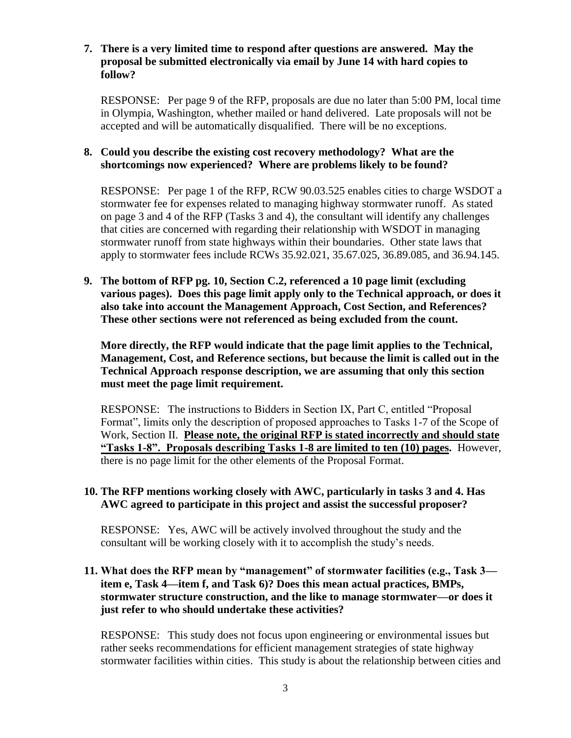# **7. There is a very limited time to respond after questions are answered. May the proposal be submitted electronically via email by June 14 with hard copies to follow?**

RESPONSE: Per page 9 of the RFP, proposals are due no later than 5:00 PM, local time in Olympia, Washington, whether mailed or hand delivered. Late proposals will not be accepted and will be automatically disqualified. There will be no exceptions.

# **8. Could you describe the existing cost recovery methodology? What are the shortcomings now experienced? Where are problems likely to be found?**

RESPONSE: Per page 1 of the RFP, RCW 90.03.525 enables cities to charge WSDOT a stormwater fee for expenses related to managing highway stormwater runoff. As stated on page 3 and 4 of the RFP (Tasks 3 and 4), the consultant will identify any challenges that cities are concerned with regarding their relationship with WSDOT in managing stormwater runoff from state highways within their boundaries. Other state laws that apply to stormwater fees include RCWs 35.92.021, 35.67.025, 36.89.085, and 36.94.145.

**9. The bottom of RFP pg. 10, Section C.2, referenced a 10 page limit (excluding various pages). Does this page limit apply only to the Technical approach, or does it also take into account the Management Approach, Cost Section, and References? These other sections were not referenced as being excluded from the count.**

**More directly, the RFP would indicate that the page limit applies to the Technical, Management, Cost, and Reference sections, but because the limit is called out in the Technical Approach response description, we are assuming that only this section must meet the page limit requirement.**

RESPONSE: The instructions to Bidders in Section IX, Part C, entitled "Proposal Format", limits only the description of proposed approaches to Tasks 1-7 of the Scope of Work, Section II. **Please note, the original RFP is stated incorrectly and should state ―Tasks 1-8‖. Proposals describing Tasks 1-8 are limited to ten (10) pages.** However, there is no page limit for the other elements of the Proposal Format.

# **10. The RFP mentions working closely with AWC, particularly in tasks 3 and 4. Has AWC agreed to participate in this project and assist the successful proposer?**

RESPONSE: Yes, AWC will be actively involved throughout the study and the consultant will be working closely with it to accomplish the study's needs.

# **11. What does the RFP mean by "management" of stormwater facilities (e.g., Task 3 item e, Task 4—item f, and Task 6)? Does this mean actual practices, BMPs, stormwater structure construction, and the like to manage stormwater—or does it just refer to who should undertake these activities?**

RESPONSE: This study does not focus upon engineering or environmental issues but rather seeks recommendations for efficient management strategies of state highway stormwater facilities within cities. This study is about the relationship between cities and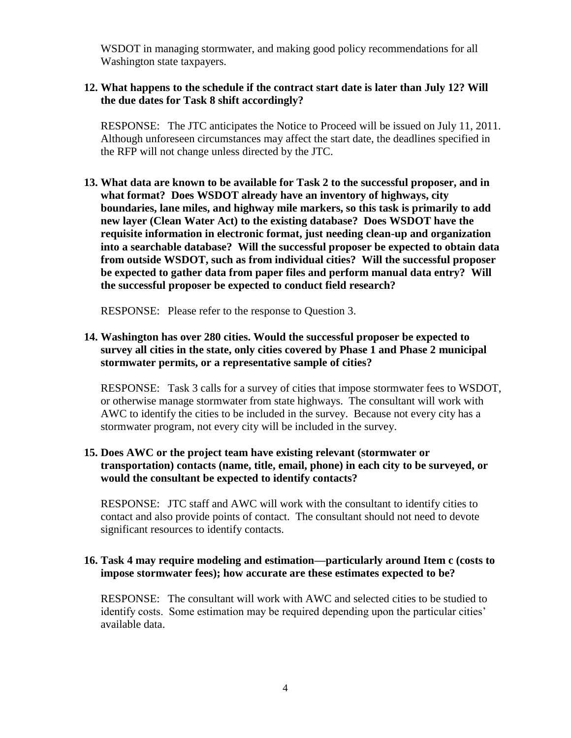WSDOT in managing stormwater, and making good policy recommendations for all Washington state taxpayers.

# **12. What happens to the schedule if the contract start date is later than July 12? Will the due dates for Task 8 shift accordingly?**

RESPONSE: The JTC anticipates the Notice to Proceed will be issued on July 11, 2011. Although unforeseen circumstances may affect the start date, the deadlines specified in the RFP will not change unless directed by the JTC.

**13. What data are known to be available for Task 2 to the successful proposer, and in what format? Does WSDOT already have an inventory of highways, city boundaries, lane miles, and highway mile markers, so this task is primarily to add new layer (Clean Water Act) to the existing database? Does WSDOT have the requisite information in electronic format, just needing clean-up and organization into a searchable database? Will the successful proposer be expected to obtain data from outside WSDOT, such as from individual cities? Will the successful proposer be expected to gather data from paper files and perform manual data entry? Will the successful proposer be expected to conduct field research?**

RESPONSE: Please refer to the response to Question 3.

**14. Washington has over 280 cities. Would the successful proposer be expected to survey all cities in the state, only cities covered by Phase 1 and Phase 2 municipal stormwater permits, or a representative sample of cities?**

RESPONSE: Task 3 calls for a survey of cities that impose stormwater fees to WSDOT, or otherwise manage stormwater from state highways. The consultant will work with AWC to identify the cities to be included in the survey. Because not every city has a stormwater program, not every city will be included in the survey.

# **15. Does AWC or the project team have existing relevant (stormwater or transportation) contacts (name, title, email, phone) in each city to be surveyed, or would the consultant be expected to identify contacts?**

RESPONSE: JTC staff and AWC will work with the consultant to identify cities to contact and also provide points of contact. The consultant should not need to devote significant resources to identify contacts.

# **16. Task 4 may require modeling and estimation—particularly around Item c (costs to impose stormwater fees); how accurate are these estimates expected to be?**

RESPONSE: The consultant will work with AWC and selected cities to be studied to identify costs. Some estimation may be required depending upon the particular cities' available data.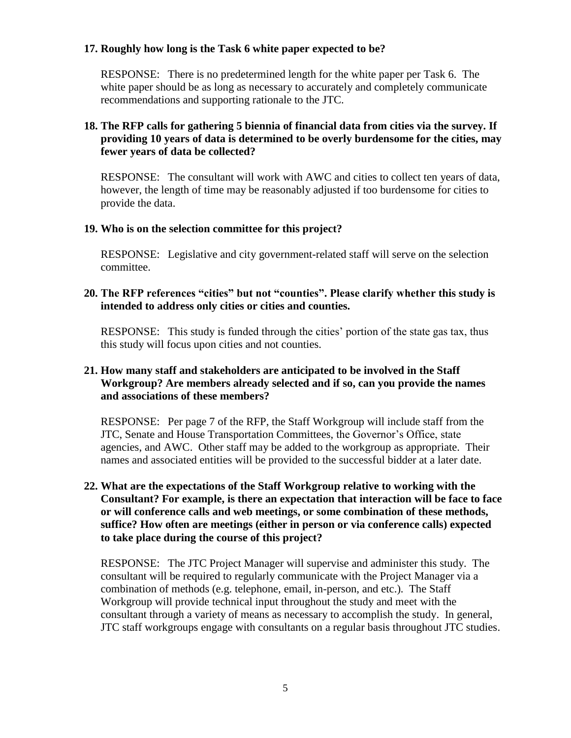## **17. Roughly how long is the Task 6 white paper expected to be?**

RESPONSE: There is no predetermined length for the white paper per Task 6. The white paper should be as long as necessary to accurately and completely communicate recommendations and supporting rationale to the JTC.

# **18. The RFP calls for gathering 5 biennia of financial data from cities via the survey. If providing 10 years of data is determined to be overly burdensome for the cities, may fewer years of data be collected?**

RESPONSE: The consultant will work with AWC and cities to collect ten years of data, however, the length of time may be reasonably adjusted if too burdensome for cities to provide the data.

# **19. Who is on the selection committee for this project?**

RESPONSE: Legislative and city government-related staff will serve on the selection committee.

#### **20.** The RFP references "cities" but not "counties". Please clarify whether this study is **intended to address only cities or cities and counties.**

RESPONSE: This study is funded through the cities' portion of the state gas tax, thus this study will focus upon cities and not counties.

# **21. How many staff and stakeholders are anticipated to be involved in the Staff Workgroup? Are members already selected and if so, can you provide the names and associations of these members?**

RESPONSE: Per page 7 of the RFP, the Staff Workgroup will include staff from the JTC, Senate and House Transportation Committees, the Governor's Office, state agencies, and AWC. Other staff may be added to the workgroup as appropriate. Their names and associated entities will be provided to the successful bidder at a later date.

# **22. What are the expectations of the Staff Workgroup relative to working with the Consultant? For example, is there an expectation that interaction will be face to face or will conference calls and web meetings, or some combination of these methods, suffice? How often are meetings (either in person or via conference calls) expected to take place during the course of this project?**

RESPONSE: The JTC Project Manager will supervise and administer this study. The consultant will be required to regularly communicate with the Project Manager via a combination of methods (e.g. telephone, email, in-person, and etc.). The Staff Workgroup will provide technical input throughout the study and meet with the consultant through a variety of means as necessary to accomplish the study. In general, JTC staff workgroups engage with consultants on a regular basis throughout JTC studies.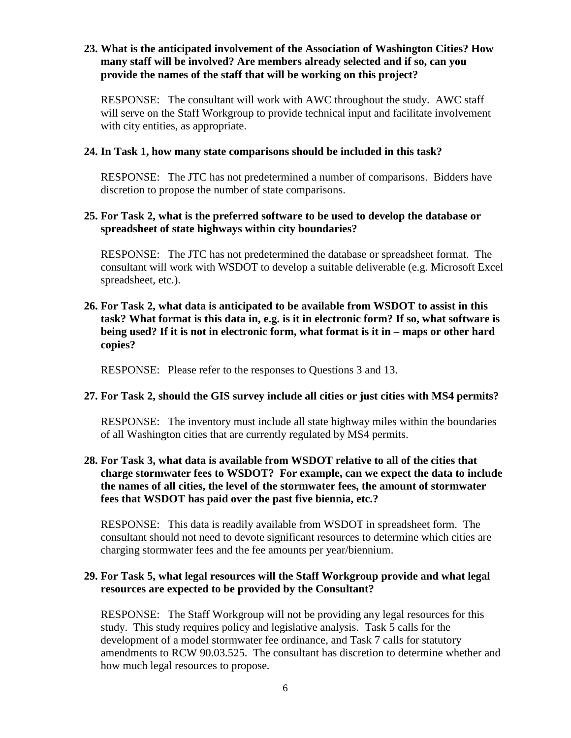# **23. What is the anticipated involvement of the Association of Washington Cities? How many staff will be involved? Are members already selected and if so, can you provide the names of the staff that will be working on this project?**

RESPONSE: The consultant will work with AWC throughout the study. AWC staff will serve on the Staff Workgroup to provide technical input and facilitate involvement with city entities, as appropriate.

#### **24. In Task 1, how many state comparisons should be included in this task?**

RESPONSE: The JTC has not predetermined a number of comparisons. Bidders have discretion to propose the number of state comparisons.

## **25. For Task 2, what is the preferred software to be used to develop the database or spreadsheet of state highways within city boundaries?**

RESPONSE: The JTC has not predetermined the database or spreadsheet format. The consultant will work with WSDOT to develop a suitable deliverable (e.g. Microsoft Excel spreadsheet, etc.).

# **26. For Task 2, what data is anticipated to be available from WSDOT to assist in this task? What format is this data in, e.g. is it in electronic form? If so, what software is being used? If it is not in electronic form, what format is it in – maps or other hard copies?**

RESPONSE: Please refer to the responses to Questions 3 and 13.

#### **27. For Task 2, should the GIS survey include all cities or just cities with MS4 permits?**

RESPONSE: The inventory must include all state highway miles within the boundaries of all Washington cities that are currently regulated by MS4 permits.

# **28. For Task 3, what data is available from WSDOT relative to all of the cities that charge stormwater fees to WSDOT? For example, can we expect the data to include the names of all cities, the level of the stormwater fees, the amount of stormwater fees that WSDOT has paid over the past five biennia, etc.?**

RESPONSE: This data is readily available from WSDOT in spreadsheet form. The consultant should not need to devote significant resources to determine which cities are charging stormwater fees and the fee amounts per year/biennium.

#### **29. For Task 5, what legal resources will the Staff Workgroup provide and what legal resources are expected to be provided by the Consultant?**

RESPONSE: The Staff Workgroup will not be providing any legal resources for this study. This study requires policy and legislative analysis. Task 5 calls for the development of a model stormwater fee ordinance, and Task 7 calls for statutory amendments to RCW 90.03.525. The consultant has discretion to determine whether and how much legal resources to propose.